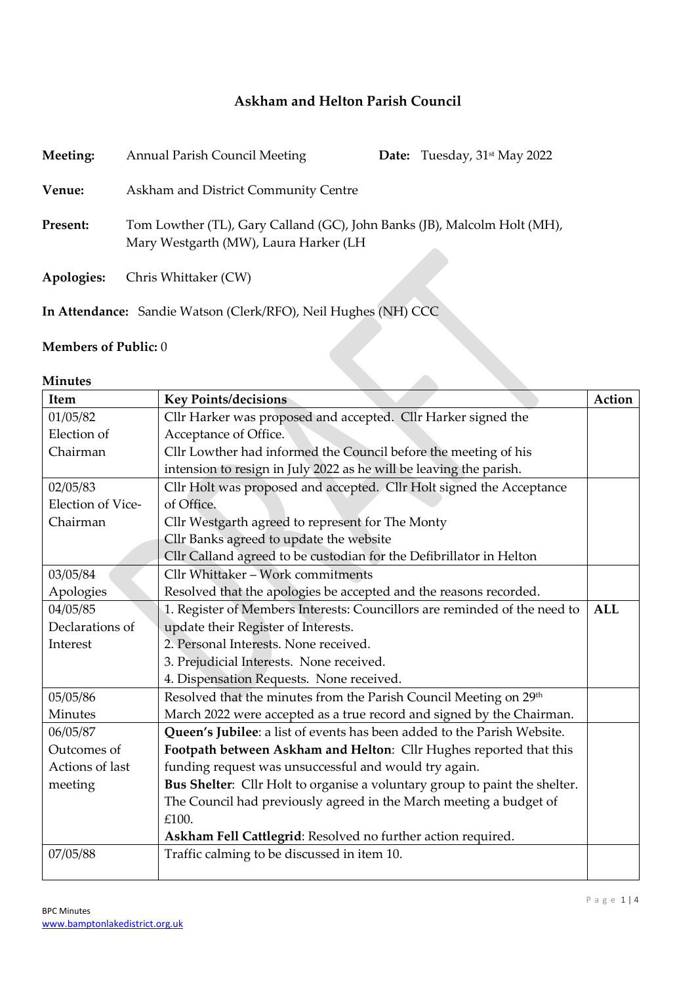## **Askham and Helton Parish Council**

| Meeting:        | <b>Annual Parish Council Meeting</b>                                                                              | <b>Date:</b> Tuesday, $31$ <sup>st</sup> May 2022 |
|-----------------|-------------------------------------------------------------------------------------------------------------------|---------------------------------------------------|
| Venue:          | Askham and District Community Centre                                                                              |                                                   |
| <b>Present:</b> | Tom Lowther (TL), Gary Calland (GC), John Banks (JB), Malcolm Holt (MH),<br>Mary Westgarth (MW), Laura Harker (LH |                                                   |
| Apologies:      | Chris Whittaker (CW)                                                                                              |                                                   |
|                 | In Attendance: Sandie Watson (Clerk/RFO), Neil Hughes (NH) CCC                                                    |                                                   |

## **Members of Public:** 0

## **Minutes**

| Item              | <b>Key Points/decisions</b>                                                   | Action     |
|-------------------|-------------------------------------------------------------------------------|------------|
| 01/05/82          | Cllr Harker was proposed and accepted. Cllr Harker signed the                 |            |
| Election of       | Acceptance of Office.                                                         |            |
| Chairman          | Cllr Lowther had informed the Council before the meeting of his               |            |
|                   | intension to resign in July 2022 as he will be leaving the parish.            |            |
| 02/05/83          | Cllr Holt was proposed and accepted. Cllr Holt signed the Acceptance          |            |
| Election of Vice- | of Office.                                                                    |            |
| Chairman          | Cllr Westgarth agreed to represent for The Monty                              |            |
|                   | Cllr Banks agreed to update the website                                       |            |
|                   | Cllr Calland agreed to be custodian for the Defibrillator in Helton           |            |
| 03/05/84          | Cllr Whittaker - Work commitments                                             |            |
| Apologies         | Resolved that the apologies be accepted and the reasons recorded.             |            |
| 04/05/85          | 1. Register of Members Interests: Councillors are reminded of the need to     | <b>ALL</b> |
| Declarations of   | update their Register of Interests.                                           |            |
| Interest          | 2. Personal Interests. None received.                                         |            |
|                   | 3. Prejudicial Interests. None received.                                      |            |
|                   | 4. Dispensation Requests. None received.                                      |            |
| 05/05/86          | Resolved that the minutes from the Parish Council Meeting on 29 <sup>th</sup> |            |
| Minutes           | March 2022 were accepted as a true record and signed by the Chairman.         |            |
| 06/05/87          | Queen's Jubilee: a list of events has been added to the Parish Website.       |            |
| Outcomes of       | Footpath between Askham and Helton: Cllr Hughes reported that this            |            |
| Actions of last   | funding request was unsuccessful and would try again.                         |            |
| meeting           | Bus Shelter: Cllr Holt to organise a voluntary group to paint the shelter.    |            |
|                   | The Council had previously agreed in the March meeting a budget of            |            |
|                   | £100.                                                                         |            |
|                   | Askham Fell Cattlegrid: Resolved no further action required.                  |            |
| 07/05/88          | Traffic calming to be discussed in item 10.                                   |            |
|                   |                                                                               |            |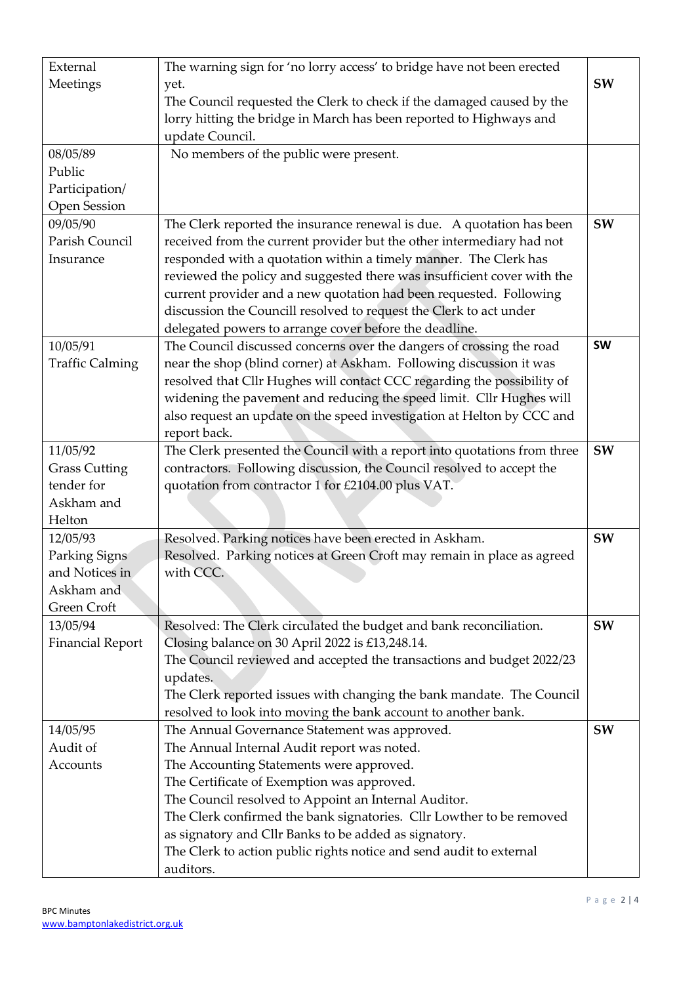| External                | The warning sign for 'no lorry access' to bridge have not been erected   |           |
|-------------------------|--------------------------------------------------------------------------|-----------|
| Meetings                | SW<br>yet.                                                               |           |
|                         | The Council requested the Clerk to check if the damaged caused by the    |           |
|                         | lorry hitting the bridge in March has been reported to Highways and      |           |
|                         | update Council.                                                          |           |
| 08/05/89                | No members of the public were present.                                   |           |
| Public                  |                                                                          |           |
| Participation/          |                                                                          |           |
| Open Session            |                                                                          |           |
| 09/05/90                | The Clerk reported the insurance renewal is due. A quotation has been    | SW        |
| Parish Council          | received from the current provider but the other intermediary had not    |           |
| Insurance               | responded with a quotation within a timely manner. The Clerk has         |           |
|                         | reviewed the policy and suggested there was insufficient cover with the  |           |
|                         | current provider and a new quotation had been requested. Following       |           |
|                         | discussion the Councill resolved to request the Clerk to act under       |           |
|                         | delegated powers to arrange cover before the deadline.                   |           |
| 10/05/91                | The Council discussed concerns over the dangers of crossing the road     | <b>SW</b> |
| <b>Traffic Calming</b>  | near the shop (blind corner) at Askham. Following discussion it was      |           |
|                         | resolved that Cllr Hughes will contact CCC regarding the possibility of  |           |
|                         | widening the pavement and reducing the speed limit. Cllr Hughes will     |           |
|                         | also request an update on the speed investigation at Helton by CCC and   |           |
|                         | report back.                                                             |           |
| 11/05/92                | The Clerk presented the Council with a report into quotations from three | SW        |
| <b>Grass Cutting</b>    | contractors. Following discussion, the Council resolved to accept the    |           |
| tender for              | quotation from contractor 1 for £2104.00 plus VAT.                       |           |
| Askham and              |                                                                          |           |
| Helton                  |                                                                          |           |
| 12/05/93                | Resolved. Parking notices have been erected in Askham.                   | SW        |
| Parking Signs           | Resolved. Parking notices at Green Croft may remain in place as agreed   |           |
| and Notices in          | with CCC.                                                                |           |
| Askham and              |                                                                          |           |
| Green Croft             |                                                                          |           |
| 13/05/94                | Resolved: The Clerk circulated the budget and bank reconciliation.       | SW        |
| <b>Financial Report</b> | Closing balance on 30 April 2022 is £13,248.14.                          |           |
|                         | The Council reviewed and accepted the transactions and budget 2022/23    |           |
|                         | updates.                                                                 |           |
|                         | The Clerk reported issues with changing the bank mandate. The Council    |           |
|                         | resolved to look into moving the bank account to another bank.           |           |
| 14/05/95                | The Annual Governance Statement was approved.                            | SW        |
| Audit of                | The Annual Internal Audit report was noted.                              |           |
| Accounts                | The Accounting Statements were approved.                                 |           |
|                         | The Certificate of Exemption was approved.                               |           |
|                         | The Council resolved to Appoint an Internal Auditor.                     |           |
|                         | The Clerk confirmed the bank signatories. Cllr Lowther to be removed     |           |
|                         | as signatory and Cllr Banks to be added as signatory.                    |           |
|                         | The Clerk to action public rights notice and send audit to external      |           |
|                         | auditors.                                                                |           |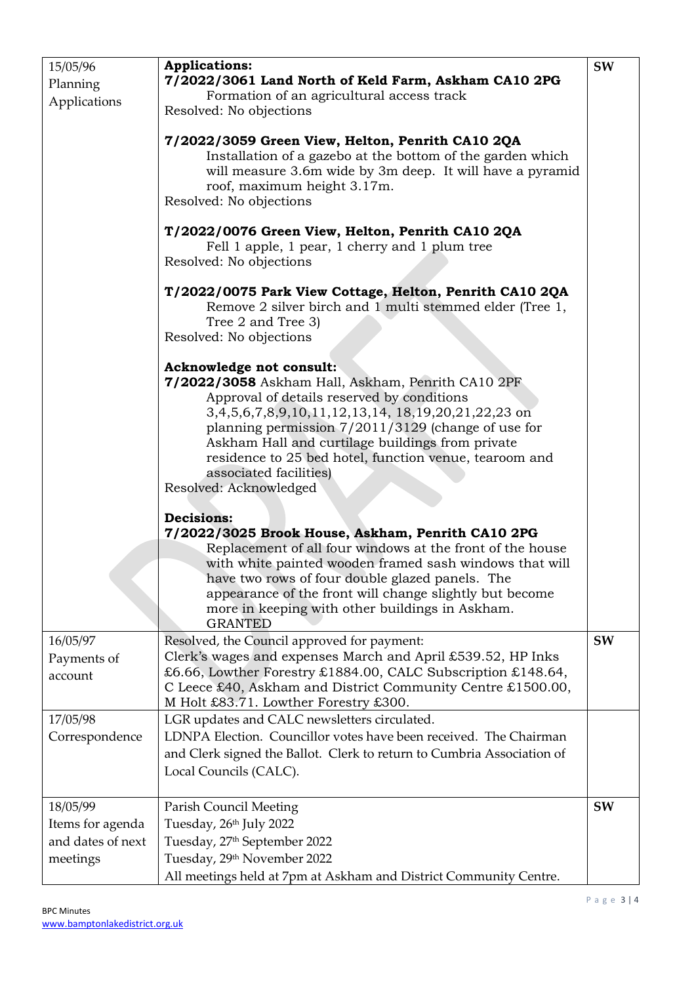| 15/05/96<br>Planning<br>Applications                          | <b>Applications:</b><br>7/2022/3061 Land North of Keld Farm, Askham CA10 2PG<br>Formation of an agricultural access track<br>Resolved: No objections<br>7/2022/3059 Green View, Helton, Penrith CA10 2QA<br>Installation of a gazebo at the bottom of the garden which<br>will measure 3.6m wide by 3m deep. It will have a pyramid<br>roof, maximum height 3.17m.<br>Resolved: No objections<br>T/2022/0076 Green View, Helton, Penrith CA10 2QA<br>Fell 1 apple, 1 pear, 1 cherry and 1 plum tree<br>Resolved: No objections<br>T/2022/0075 Park View Cottage, Helton, Penrith CA10 2QA<br>Remove 2 silver birch and 1 multi stemmed elder (Tree 1,<br>Tree 2 and Tree 3)<br>Resolved: No objections<br>Acknowledge not consult:<br>7/2022/3058 Askham Hall, Askham, Penrith CA10 2PF<br>Approval of details reserved by conditions<br>3,4,5,6,7,8,9,10,11,12,13,14, 18,19,20,21,22,23 on<br>planning permission $7/2011/3129$ (change of use for<br>Askham Hall and curtilage buildings from private<br>residence to 25 bed hotel, function venue, tearoom and<br>associated facilities)<br>Resolved: Acknowledged | SW |
|---------------------------------------------------------------|-----------------------------------------------------------------------------------------------------------------------------------------------------------------------------------------------------------------------------------------------------------------------------------------------------------------------------------------------------------------------------------------------------------------------------------------------------------------------------------------------------------------------------------------------------------------------------------------------------------------------------------------------------------------------------------------------------------------------------------------------------------------------------------------------------------------------------------------------------------------------------------------------------------------------------------------------------------------------------------------------------------------------------------------------------------------------------------------------------------------------|----|
|                                                               | <b>Decisions:</b><br>7/2022/3025 Brook House, Askham, Penrith CA10 2PG<br>Replacement of all four windows at the front of the house<br>with white painted wooden framed sash windows that will<br>have two rows of four double glazed panels. The<br>appearance of the front will change slightly but become<br>more in keeping with other buildings in Askham.<br><b>GRANTED</b>                                                                                                                                                                                                                                                                                                                                                                                                                                                                                                                                                                                                                                                                                                                                     |    |
| 16/05/97<br>Payments of<br>account                            | Resolved, the Council approved for payment:<br>Clerk's wages and expenses March and April £539.52, HP Inks<br>£6.66, Lowther Forestry £1884.00, CALC Subscription £148.64,<br>C Leece £40, Askham and District Community Centre £1500.00,<br>M Holt £83.71. Lowther Forestry £300.                                                                                                                                                                                                                                                                                                                                                                                                                                                                                                                                                                                                                                                                                                                                                                                                                                    | SW |
| 17/05/98<br>Correspondence                                    | LGR updates and CALC newsletters circulated.<br>LDNPA Election. Councillor votes have been received. The Chairman<br>and Clerk signed the Ballot. Clerk to return to Cumbria Association of<br>Local Councils (CALC).                                                                                                                                                                                                                                                                                                                                                                                                                                                                                                                                                                                                                                                                                                                                                                                                                                                                                                 |    |
| 18/05/99<br>Items for agenda<br>and dates of next<br>meetings | <b>Parish Council Meeting</b><br>Tuesday, 26th July 2022<br>Tuesday, 27th September 2022<br>Tuesday, 29th November 2022<br>All meetings held at 7pm at Askham and District Community Centre.                                                                                                                                                                                                                                                                                                                                                                                                                                                                                                                                                                                                                                                                                                                                                                                                                                                                                                                          | SW |